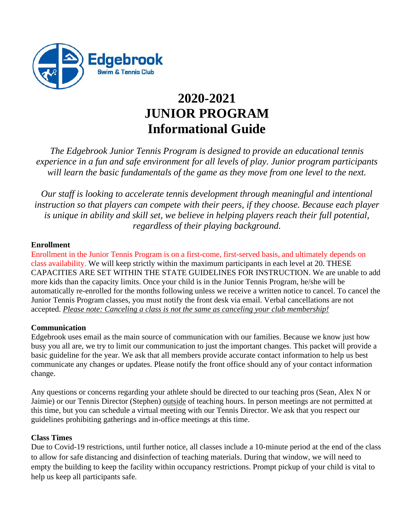

## **2020-2021 JUNIOR PROGRAM Informational Guide**

*The Edgebrook Junior Tennis Program is designed to provide an educational tennis experience in a fun and safe environment for all levels of play. Junior program participants will learn the basic fundamentals of the game as they move from one level to the next.*

*Our staff is looking to accelerate tennis development through meaningful and intentional instruction so that players can compete with their peers, if they choose. Because each player is unique in ability and skill set, we believe in helping players reach their full potential, regardless of their playing background.*

#### **Enrollment**

Enrollment in the Junior Tennis Program is on a first-come, first-served basis, and ultimately depends on class availability. We will keep strictly within the maximum participants in each level at 20. THESE CAPACITIES ARE SET WITHIN THE STATE GUIDELINES FOR INSTRUCTION. We are unable to add more kids than the capacity limits. Once your child is in the Junior Tennis Program, he/she will be automatically re-enrolled for the months following unless we receive a written notice to cancel. To cancel the Junior Tennis Program classes, you must notify the front desk via email. Verbal cancellations are not accepted. *Please note: Canceling a class is not the same as canceling your club membership!*

#### **Communication**

Edgebrook uses email as the main source of communication with our families. Because we know just how busy you all are, we try to limit our communication to just the important changes. This packet will provide a basic guideline for the year. We ask that all members provide accurate contact information to help us best communicate any changes or updates. Please notify the front office should any of your contact information change.

Any questions or concerns regarding your athlete should be directed to our teaching pros (Sean, Alex N or Jaimie) or our Tennis Director (Stephen) outside of teaching hours. In person meetings are not permitted at this time, but you can schedule a virtual meeting with our Tennis Director. We ask that you respect our guidelines prohibiting gatherings and in-office meetings at this time.

#### **Class Times**

Due to Covid-19 restrictions, until further notice, all classes include a 10-minute period at the end of the class to allow for safe distancing and disinfection of teaching materials. During that window, we will need to empty the building to keep the facility within occupancy restrictions. Prompt pickup of your child is vital to help us keep all participants safe.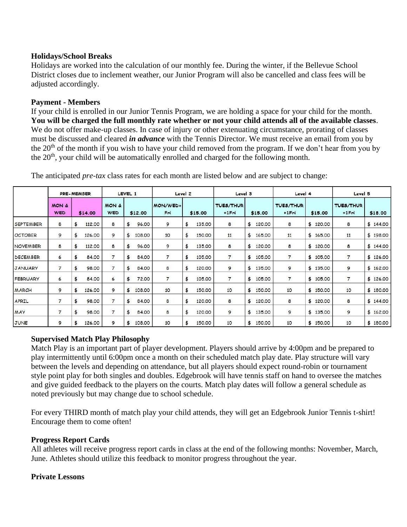#### **Holidays/School Breaks**

Holidays are worked into the calculation of our monthly fee. During the winter, if the Bellevue School District closes due to inclement weather, our Junior Program will also be cancelled and class fees will be adjusted accordingly.

#### **Payment - Members**

If your child is enrolled in our Junior Tennis Program, we are holding a space for your child for the month. **You will be charged the full monthly rate whether or not your child attends all of the available classes**. We do not offer make-up classes. In case of injury or other extenuating circumstance, prorating of classes must be discussed and cleared *in advance* with the Tennis Director. We must receive an email from you by the 20<sup>th</sup> of the month if you wish to have your child removed from the program. If we don't hear from you by the 20<sup>th</sup>, your child will be automatically enrolled and charged for the following month.

|                  | PRE-MEMBER                     |                        | LEVEL <sub>1</sub>             |              | Level 2         |              | Level 3                      |              | Level 4                      |              | Level 5                      |          |
|------------------|--------------------------------|------------------------|--------------------------------|--------------|-----------------|--------------|------------------------------|--------------|------------------------------|--------------|------------------------------|----------|
|                  | <b>MON &amp;</b><br><b>WED</b> | \$14.00                | <b>MON &amp;</b><br><b>WED</b> | \$12.00      | MON/WED+<br>Fri | \$15.00      | <b>TUES/THUR</b><br>$+1$ Fri | \$15.00      | <b>TUES/THUR</b><br>$+1$ Fri | \$15.00      | <b>TUES/THUR</b><br>$+1$ Fri | \$18.00  |
| <b>SEPTEMBER</b> | 8                              | \$<br>112.00           | 8                              | 96.00<br>\$  | 9               | \$<br>135.00 | 8                            | 120.00<br>\$ | 8                            | \$120.00     | 8                            | \$144.00 |
| <b>OCTOBER</b>   | 9                              | \$<br>126.00           | 9                              | 108.00<br>\$ | 10              | \$<br>150.00 | 11                           | 165.00<br>\$ | 11                           | \$165.00     | 11                           | \$198.00 |
| <b>NOVEMBER</b>  | 8                              | \$<br>112.00           | 8                              | 96.00<br>\$  | 9               | \$<br>135.00 | 8                            | \$<br>120.00 | 8                            | \$<br>120.00 | 8                            | \$144.00 |
| <b>DECEMBER</b>  | 6                              | \$<br>84.00            | $\overline{7}$                 | \$<br>84.00  | $\overline{7}$  | \$<br>105.00 | $\overline{7}$               | \$<br>105.00 | $\overline{7}$               | \$<br>105.00 | $\overline{7}$               | \$126.00 |
| <b>JANUARY</b>   | $\overline{7}$                 | \$<br>98.00            | $\overline{7}$                 | \$<br>84.00  | 8               | \$<br>120.00 | 9                            | \$<br>135.00 | 9                            | \$135.00     | 9                            | \$162.00 |
| <b>FEBRUARY</b>  | 6                              | \$<br>84.00            | 6                              | 72.00<br>\$  | $\overline{7}$  | \$<br>105.00 | $\overline{7}$               | \$<br>105.00 | $\overline{7}$               | \$105.00     | $\overline{7}$               | \$126.00 |
| MARCH            | 9                              | \$<br>126.00           | 9                              | \$<br>108.00 | 10              | \$<br>150.00 | 10                           | \$<br>150.00 | 10                           | \$150.00     | 10                           | \$180.00 |
| APRIL            | $\overline{7}$                 | \$<br>98.00            | $\overline{7}$                 | 84.00<br>\$  | 8               | \$<br>120.00 | 8                            | \$<br>120.00 | 8                            | \$120.00     | 8                            | \$144.00 |
| MAY              | $\overline{7}$                 | $\frac{4}{5}$<br>98.00 | $\overline{7}$                 | 84.00<br>\$  | 8               | \$<br>120.00 | 9                            | \$<br>135.00 | 9                            | \$135.00     | 9                            | \$162.00 |
| <b>JUNE</b>      | 9                              | \$<br>126.00           | 9                              | 108.00<br>\$ | 10              | \$<br>150.00 | 10                           | \$<br>150.00 | 10                           | \$<br>150.00 | 10                           | \$180.00 |

The anticipated *pre-tax* class rates for each month are listed below and are subject to change:

#### **Supervised Match Play Philosophy**

Match Play is an important part of player development. Players should arrive by 4:00pm and be prepared to play intermittently until 6:00pm once a month on their scheduled match play date. Play structure will vary between the levels and depending on attendance, but all players should expect round-robin or tournament style point play for both singles and doubles. Edgebrook will have tennis staff on hand to oversee the matches and give guided feedback to the players on the courts. Match play dates will follow a general schedule as noted previously but may change due to school schedule.

For every THIRD month of match play your child attends, they will get an Edgebrook Junior Tennis t-shirt! Encourage them to come often!

#### **Progress Report Cards**

All athletes will receive progress report cards in class at the end of the following months: November, March, June. Athletes should utilize this feedback to monitor progress throughout the year.

#### **Private Lessons**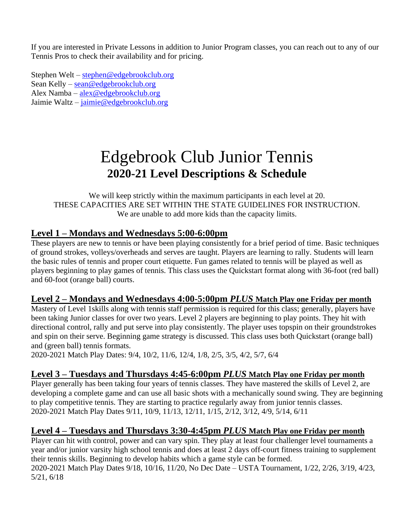If you are interested in Private Lessons in addition to Junior Program classes, you can reach out to any of our Tennis Pros to check their availability and for pricing.

Stephen Welt – [stephen@edgebrookclub.org](mailto:stephen@edgebrookclub.org) Sean Kelly – [sean@edgebrookclub.org](mailto:sean@edgebrookclub.org) Alex Namba – [alex@edgebrookclub.org](mailto:alex@edgebrookclub.org) Jaimie Waltz – [jaimie@edgebrookclub.org](mailto:jaimie@edgebrookclub.org)

# Edgebrook Club Junior Tennis **2020-21 Level Descriptions & Schedule**

We will keep strictly within the maximum participants in each level at 20. THESE CAPACITIES ARE SET WITHIN THE STATE GUIDELINES FOR INSTRUCTION. We are unable to add more kids than the capacity limits.

## **Level 1 – Mondays and Wednesdays 5:00-6:00pm**

These players are new to tennis or have been playing consistently for a brief period of time. Basic techniques of ground strokes, volleys/overheads and serves are taught. Players are learning to rally. Students will learn the basic rules of tennis and proper court etiquette. Fun games related to tennis will be played as well as players beginning to play games of tennis. This class uses the Quickstart format along with 36-foot (red ball) and 60-foot (orange ball) courts.

## **Level 2 – Mondays and Wednesdays 4:00-5:00pm** *PLUS* **Match Play one Friday per month**

Mastery of Level 1skills along with tennis staff permission is required for this class; generally, players have been taking Junior classes for over two years. Level 2 players are beginning to play points. They hit with directional control, rally and put serve into play consistently. The player uses topspin on their groundstrokes and spin on their serve. Beginning game strategy is discussed. This class uses both Quickstart (orange ball) and (green ball) tennis formats.

2020-2021 Match Play Dates: 9/4, 10/2, 11/6, 12/4, 1/8, 2/5, 3/5, 4/2, 5/7, 6/4

## **Level 3 – Tuesdays and Thursdays 4:45-6:00pm** *PLUS* **Match Play one Friday per month**

Player generally has been taking four years of tennis classes. They have mastered the skills of Level 2, are developing a complete game and can use all basic shots with a mechanically sound swing. They are beginning to play competitive tennis. They are starting to practice regularly away from junior tennis classes. 2020-2021 Match Play Dates 9/11, 10/9, 11/13, 12/11, 1/15, 2/12, 3/12, 4/9, 5/14, 6/11

## **Level 4 – Tuesdays and Thursdays 3:30-4:45pm** *PLUS* **Match Play one Friday per month**

Player can hit with control, power and can vary spin. They play at least four challenger level tournaments a year and/or junior varsity high school tennis and does at least 2 days off-court fitness training to supplement their tennis skills. Beginning to develop habits which a game style can be formed. 2020-2021 Match Play Dates 9/18, 10/16, 11/20, No Dec Date – USTA Tournament, 1/22, 2/26, 3/19, 4/23, 5/21, 6/18